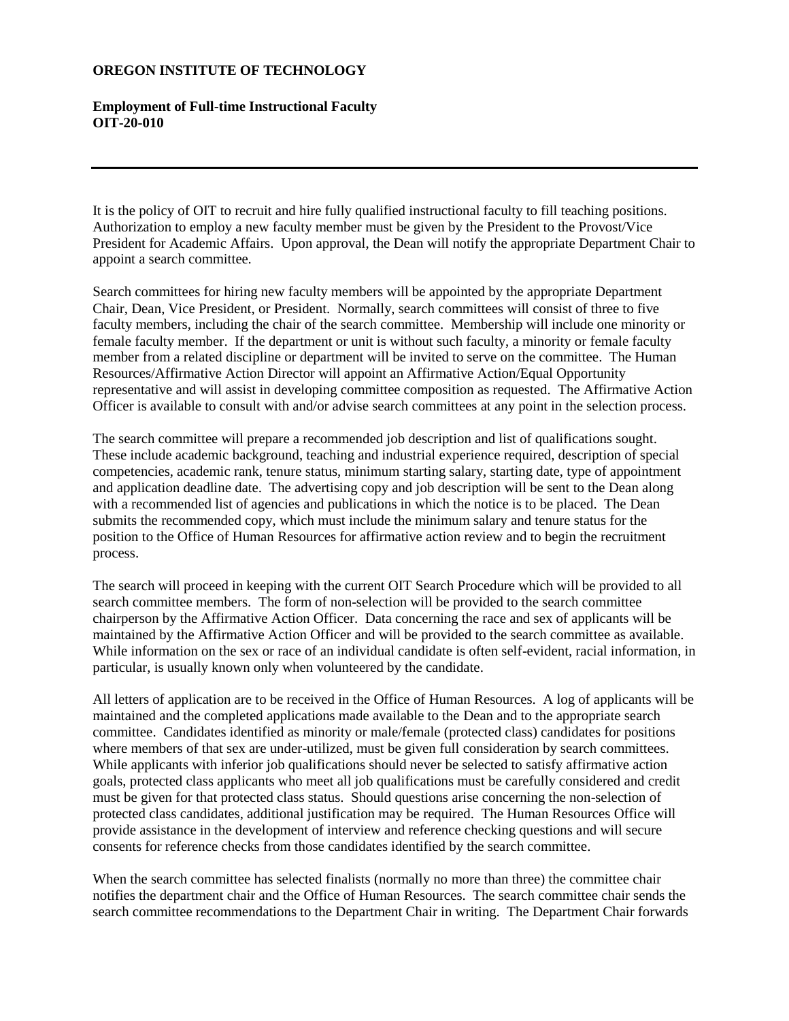## **OREGON INSTITUTE OF TECHNOLOGY**

## **Employment of Full-time Instructional Faculty OIT-20-010**

It is the policy of OIT to recruit and hire fully qualified instructional faculty to fill teaching positions. Authorization to employ a new faculty member must be given by the President to the Provost/Vice President for Academic Affairs. Upon approval, the Dean will notify the appropriate Department Chair to appoint a search committee.

Search committees for hiring new faculty members will be appointed by the appropriate Department Chair, Dean, Vice President, or President. Normally, search committees will consist of three to five faculty members, including the chair of the search committee. Membership will include one minority or female faculty member. If the department or unit is without such faculty, a minority or female faculty member from a related discipline or department will be invited to serve on the committee. The Human Resources/Affirmative Action Director will appoint an Affirmative Action/Equal Opportunity representative and will assist in developing committee composition as requested. The Affirmative Action Officer is available to consult with and/or advise search committees at any point in the selection process.

The search committee will prepare a recommended job description and list of qualifications sought. These include academic background, teaching and industrial experience required, description of special competencies, academic rank, tenure status, minimum starting salary, starting date, type of appointment and application deadline date. The advertising copy and job description will be sent to the Dean along with a recommended list of agencies and publications in which the notice is to be placed. The Dean submits the recommended copy, which must include the minimum salary and tenure status for the position to the Office of Human Resources for affirmative action review and to begin the recruitment process.

The search will proceed in keeping with the current OIT Search Procedure which will be provided to all search committee members. The form of non-selection will be provided to the search committee chairperson by the Affirmative Action Officer. Data concerning the race and sex of applicants will be maintained by the Affirmative Action Officer and will be provided to the search committee as available. While information on the sex or race of an individual candidate is often self-evident, racial information, in particular, is usually known only when volunteered by the candidate.

All letters of application are to be received in the Office of Human Resources. A log of applicants will be maintained and the completed applications made available to the Dean and to the appropriate search committee. Candidates identified as minority or male/female (protected class) candidates for positions where members of that sex are under-utilized, must be given full consideration by search committees. While applicants with inferior job qualifications should never be selected to satisfy affirmative action goals, protected class applicants who meet all job qualifications must be carefully considered and credit must be given for that protected class status. Should questions arise concerning the non-selection of protected class candidates, additional justification may be required. The Human Resources Office will provide assistance in the development of interview and reference checking questions and will secure consents for reference checks from those candidates identified by the search committee.

When the search committee has selected finalists (normally no more than three) the committee chair notifies the department chair and the Office of Human Resources. The search committee chair sends the search committee recommendations to the Department Chair in writing. The Department Chair forwards